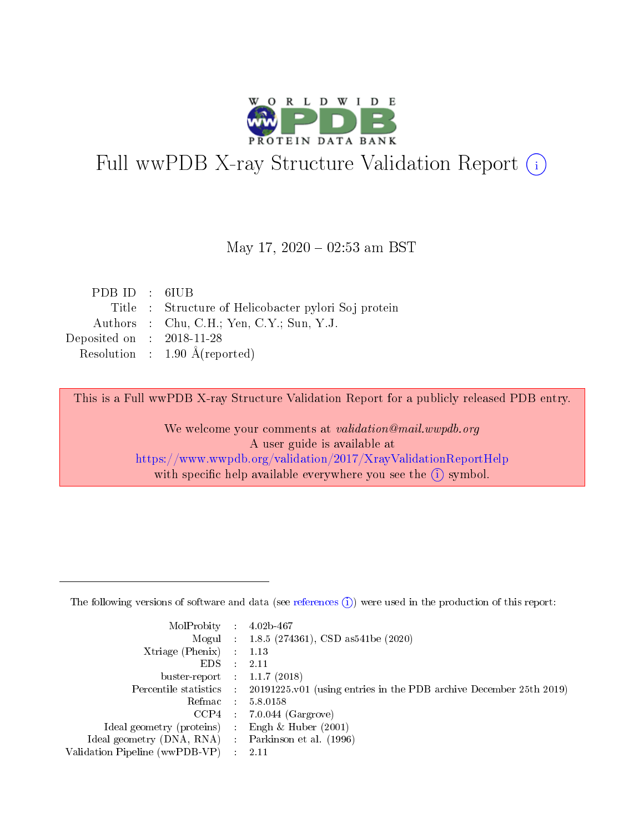

# Full wwPDB X-ray Structure Validation Report (i)

#### May 17,  $2020 - 02:53$  am BST

| PDBID : 6IUB                         |                                                      |
|--------------------------------------|------------------------------------------------------|
|                                      | Title : Structure of Helicobacter pylori Soj protein |
|                                      | Authors : Chu, C.H.; Yen, C.Y.; Sun, Y.J.            |
| Deposited on $\therefore$ 2018-11-28 |                                                      |
|                                      | Resolution : $1.90 \text{ Å}$ (reported)             |

This is a Full wwPDB X-ray Structure Validation Report for a publicly released PDB entry.

We welcome your comments at validation@mail.wwpdb.org A user guide is available at <https://www.wwpdb.org/validation/2017/XrayValidationReportHelp> with specific help available everywhere you see the  $(i)$  symbol.

The following versions of software and data (see [references](https://www.wwpdb.org/validation/2017/XrayValidationReportHelp#references)  $(1)$ ) were used in the production of this report:

| MolProbity : 4.02b-467         |   |                                                                                                    |
|--------------------------------|---|----------------------------------------------------------------------------------------------------|
|                                |   | Mogul : 1.8.5 (274361), CSD as 541be (2020)                                                        |
| $X$ triage (Phenix) :          |   | 1.13                                                                                               |
| EDS.                           |   | 2.11                                                                                               |
| buster-report : $1.1.7$ (2018) |   |                                                                                                    |
|                                |   | Percentile statistics : $20191225 \times 01$ (using entries in the PDB archive December 25th 2019) |
| Refmac :                       |   | 5.8.0158                                                                                           |
| CCP4                           |   | $7.0.044$ (Gargrove)                                                                               |
| Ideal geometry (proteins) :    |   | Engh $\&$ Huber (2001)                                                                             |
| Ideal geometry (DNA, RNA) :    |   | Parkinson et al. (1996)                                                                            |
| Validation Pipeline (wwPDB-VP) | ÷ | -2.11                                                                                              |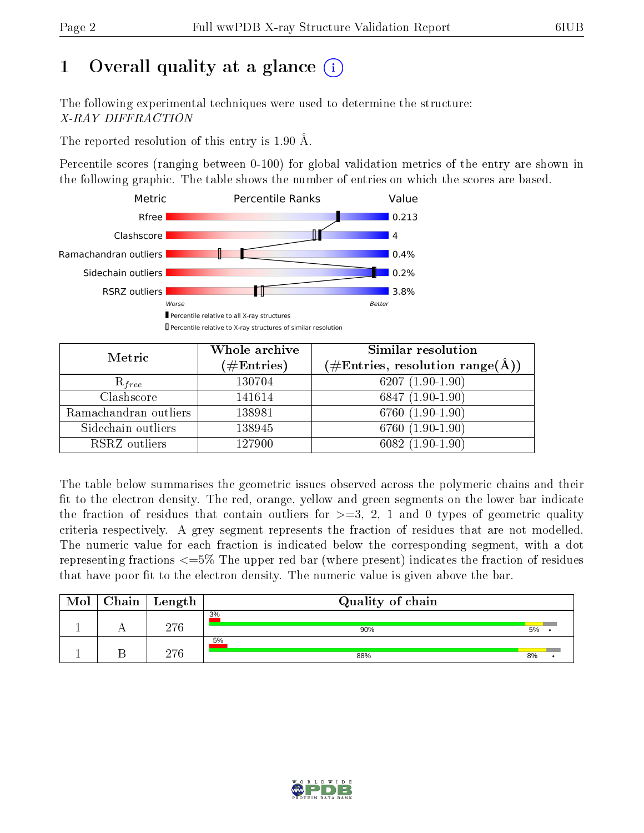# 1 [O](https://www.wwpdb.org/validation/2017/XrayValidationReportHelp#overall_quality)verall quality at a glance  $(i)$

The following experimental techniques were used to determine the structure: X-RAY DIFFRACTION

The reported resolution of this entry is 1.90 Å.

Percentile scores (ranging between 0-100) for global validation metrics of the entry are shown in the following graphic. The table shows the number of entries on which the scores are based.



| Metric                | Whole archive<br>$(\#\mathrm{Entries})$ | Similar resolution<br>$(\#\text{Entries},\,\text{resolution}\,\,\text{range}(\textup{\AA}))$ |  |  |
|-----------------------|-----------------------------------------|----------------------------------------------------------------------------------------------|--|--|
| $R_{free}$            | 130704                                  | $6207(1.90-1.90)$                                                                            |  |  |
| Clashscore            | 141614                                  | $6847(1.90-1.90)$                                                                            |  |  |
| Ramachandran outliers | 138981                                  | $6760(1.90-1.90)$                                                                            |  |  |
| Sidechain outliers    | 138945                                  | $6760(1.90-1.90)$                                                                            |  |  |
| RSRZ outliers         | 127900                                  | $6082(1.90-1.90)$                                                                            |  |  |

The table below summarises the geometric issues observed across the polymeric chains and their fit to the electron density. The red, orange, yellow and green segments on the lower bar indicate the fraction of residues that contain outliers for  $>=3, 2, 1$  and 0 types of geometric quality criteria respectively. A grey segment represents the fraction of residues that are not modelled. The numeric value for each fraction is indicated below the corresponding segment, with a dot representing fractions  $\epsilon=5\%$  The upper red bar (where present) indicates the fraction of residues that have poor fit to the electron density. The numeric value is given above the bar.

| Mol | Chain | Length | Quality of chain |    |  |
|-----|-------|--------|------------------|----|--|
|     |       | 976    | 3%<br>90%        | 5% |  |
|     |       | 270    | 5%<br>88%        | 8% |  |

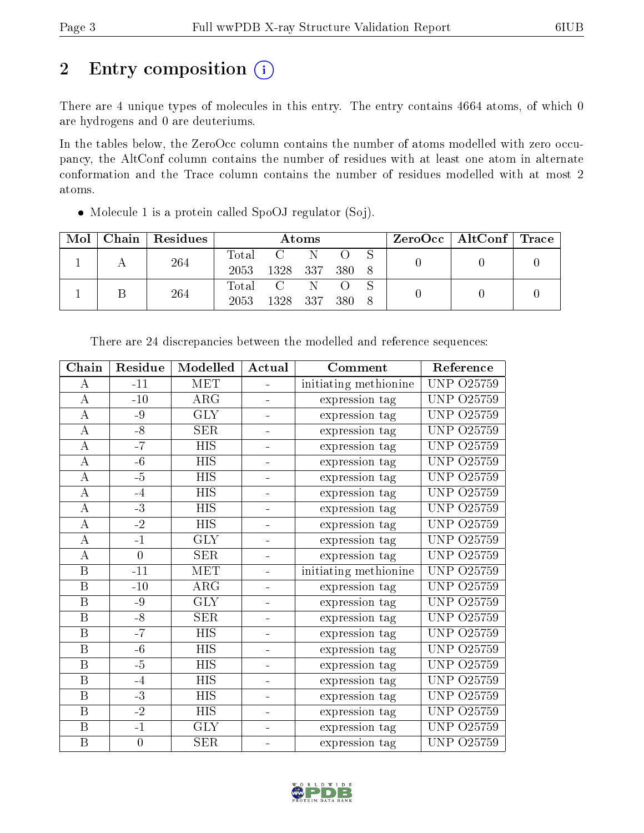# 2 Entry composition (i)

There are 4 unique types of molecules in this entry. The entry contains 4664 atoms, of which 0 are hydrogens and 0 are deuteriums.

In the tables below, the ZeroOcc column contains the number of atoms modelled with zero occupancy, the AltConf column contains the number of residues with at least one atom in alternate conformation and the Trace column contains the number of residues modelled with at most 2 atoms.

Molecule 1 is a protein called SpoOJ regulator (Soj).

| Mol | Chain   Residues | Atoms   |                |  |  |  | $\text{ZeroOcc} \mid \text{AltConf} \mid \text{Trace}$ |  |  |
|-----|------------------|---------|----------------|--|--|--|--------------------------------------------------------|--|--|
|     | 264              | Total   | $\mathbf{C}$   |  |  |  |                                                        |  |  |
|     |                  | 2053    | 1328 337 380 8 |  |  |  |                                                        |  |  |
|     | 264              | Total C |                |  |  |  |                                                        |  |  |
|     |                  | 2053    | 1328 337 380   |  |  |  |                                                        |  |  |

| Chain              | Residue        | Modelled              | Actual         | Comment               | Reference         |
|--------------------|----------------|-----------------------|----------------|-----------------------|-------------------|
| $\bf{A}$           | $-11$          | <b>MET</b>            | ÷.             | initiating methionine | <b>UNP 025759</b> |
| $\overline{\rm A}$ | $-10$          | $\overline{\rm{ARG}}$ |                | expression tag        | UNP<br>O25759     |
| $\boldsymbol{A}$   | $-9$           | <b>GLY</b>            |                | expression tag        | UNP<br>O25759     |
| $\boldsymbol{A}$   | $-8$           | <b>SER</b>            |                | expression tag        | O25759<br>UNP.    |
| $\bf{A}$           | $-7$           | <b>HIS</b>            | ÷,             | expression tag        | UNP<br>O25759     |
| $\bf{A}$           | $-6$           | <b>HIS</b>            | $\equiv$       | expression tag        | UNP.<br>O25759    |
| $\bf{A}$           | $-5$           | <b>HIS</b>            |                | expression tag        | <b>UNP 025759</b> |
| $\boldsymbol{A}$   | $-4$           | <b>HIS</b>            |                | expression tag        | UNP.<br>O25759    |
| A                  | $-3$           | <b>HIS</b>            |                | expression tag        | <b>UNP 025759</b> |
| A                  | $-2$           | <b>HIS</b>            |                | expression tag        | UNP.<br>O25759    |
| А                  | $-1$           | <b>GLY</b>            |                | expression tag        | UNP 025759        |
| $\bf{A}$           | $\overline{0}$ | <b>SER</b>            | ÷,             | expression tag        | <b>UNP 025759</b> |
| $\mathbf{B}$       | $-11$          | MET                   | Ξ.             | initiating methionine | <b>UNP 025759</b> |
| B                  | $-10$          | $\rm{ARG}$            | ÷              | expression tag        | UNP<br>O25759     |
| B                  | $-9$           | <b>GLY</b>            | ÷,             | expression tag        | <b>UNP 025759</b> |
| B                  | $-8$           | SER                   | ÷              | expression tag        | UNP<br>O25759     |
| B                  | $-7$           | <b>HIS</b>            | -              | expression tag        | UNP<br>O25759     |
| B                  | $-6$           | <b>HIS</b>            | ÷,             | expression tag        | UNP.<br>O25759    |
| $\mathbf{B}$       | $-5$           | <b>HIS</b>            | ÷,             | expression tag        | UNP<br>O25759     |
| $\boldsymbol{B}$   | $-4$           | <b>HIS</b>            | ÷              | expression tag        | UNP<br>O25759     |
| B                  | $-3$           | HIS                   | -              | expression tag        | UNP<br>O25759     |
| $\mathbf B$        | $-2$           | <b>HIS</b>            | $\equiv$       | expression tag        | UNP.<br>O25759    |
| $\mathbf{B}$       | $-1$           | <b>GLY</b>            | $\blacksquare$ | expression tag        | UNP.<br>O25759    |
| $\mathbf{B}$       | $\overline{0}$ | <b>SER</b>            | -              | expression tag        | UNP  <br>O25759   |

There are 24 discrepancies between the modelled and reference sequences:

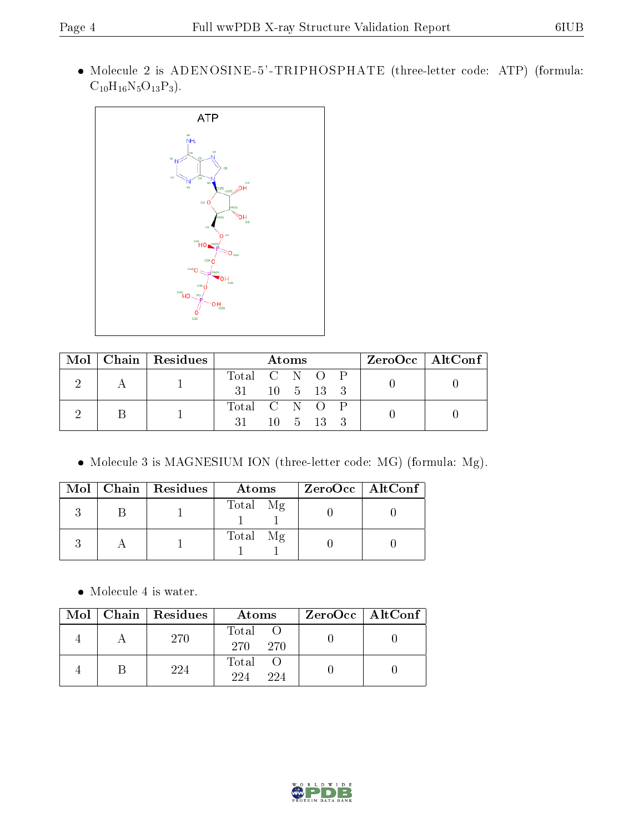Molecule 2 is ADENOSINE-5'-TRIPHOSPHATE (three-letter code: ATP) (formula:  $\rm C_{10}H_{16}N_5O_{13}P_3).$ 



|  | $Mol$   Chain   Residues | Atoms                      |  |  |  |  | $\rm ZeroOcc \mid AltConf$ |  |
|--|--------------------------|----------------------------|--|--|--|--|----------------------------|--|
|  |                          | Total C N O P              |  |  |  |  |                            |  |
|  |                          | $31 \t 10 \t 5 \t 13 \t 3$ |  |  |  |  |                            |  |
|  |                          | Total C N O P              |  |  |  |  |                            |  |
|  |                          | $31 \t 10 \t 5 \t 13 \t 3$ |  |  |  |  |                            |  |

Molecule 3 is MAGNESIUM ION (three-letter code: MG) (formula: Mg).

|  | Mol   Chain   Residues | Atoms    | $ZeroOcc$   AltConf |
|--|------------------------|----------|---------------------|
|  |                        | Total Mg |                     |
|  |                        | Total Mg |                     |

 $\bullet\,$  Molecule 4 is water.

|  | Mol   Chain   Residues | Atoms                | $ZeroOcc \   \$ AltConf |
|--|------------------------|----------------------|-------------------------|
|  | 270                    | Total<br>270<br>270. |                         |
|  | 224                    | Total<br>224<br>224  |                         |

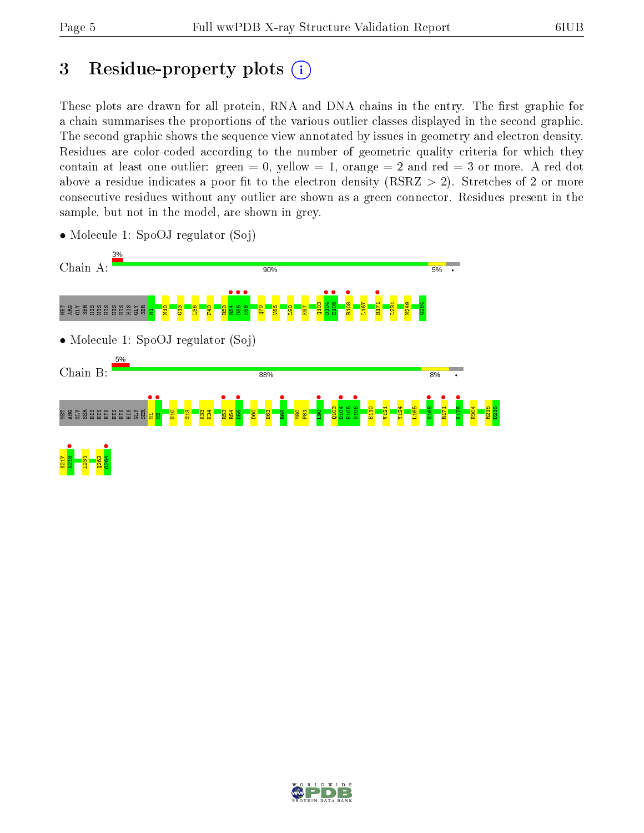# 3 Residue-property plots  $(i)$

These plots are drawn for all protein, RNA and DNA chains in the entry. The first graphic for a chain summarises the proportions of the various outlier classes displayed in the second graphic. The second graphic shows the sequence view annotated by issues in geometry and electron density. Residues are color-coded according to the number of geometric quality criteria for which they contain at least one outlier: green  $= 0$ , yellow  $= 1$ , orange  $= 2$  and red  $= 3$  or more. A red dot above a residue indicates a poor fit to the electron density (RSRZ  $> 2$ ). Stretches of 2 or more consecutive residues without any outlier are shown as a green connector. Residues present in the sample, but not in the model, are shown in grey.



• Molecule 1: SpoOJ regulator (Soj)

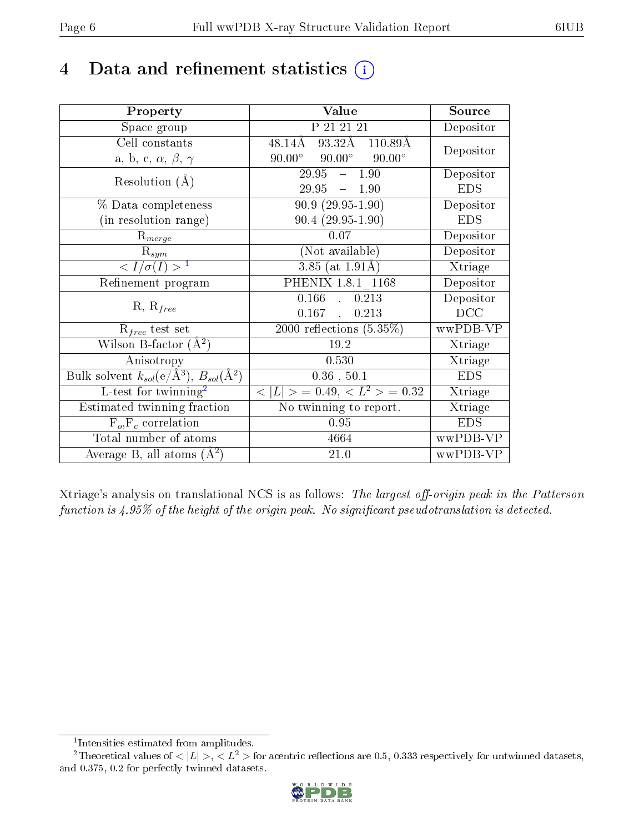# 4 Data and refinement statistics  $(i)$

| Property                                                         | Value                                            | Source     |
|------------------------------------------------------------------|--------------------------------------------------|------------|
| Space group                                                      | P 21 21 21                                       | Depositor  |
| Cell constants                                                   | $93.32\text{\AA}$ 110.89Å<br>$48.14\text{\AA}$   | Depositor  |
| a, b, c, $\alpha$ , $\beta$ , $\gamma$                           | $90.00^{\circ}$ $90.00^{\circ}$<br>$90.00^\circ$ |            |
| Resolution $(A)$                                                 | $-1.90$<br>29.95                                 | Depositor  |
|                                                                  | $29.95 = 1.90$                                   | <b>EDS</b> |
| % Data completeness                                              | $90.9(29.95-1.90)$                               | Depositor  |
| (in resolution range)                                            | $90.4(29.95-1.90)$                               | <b>EDS</b> |
| $R_{merge}$                                                      | 0.07                                             | Depositor  |
| $\mathrm{R}_{sym}$                                               | (Not available)                                  | Depositor  |
| $\langle I/\sigma(I) \rangle^{-1}$                               | $3.85$ (at 1.91Å)                                | Xtriage    |
| Refinement program                                               | PHENIX 1.8.1 1168                                | Depositor  |
|                                                                  | 0.166<br>0.213<br>$\mathcal{L}$                  | Depositor  |
| $R, R_{free}$                                                    | $0.167$ ,<br>0.213                               | DCC        |
| $R_{free}$ test set                                              | 2000 reflections $(5.35\%)$                      | wwPDB-VP   |
| Wilson B-factor $(A^2)$                                          | 19.2                                             | Xtriage    |
| Anisotropy                                                       | 0.530                                            | Xtriage    |
| Bulk solvent $k_{sol}(\text{e}/\text{A}^3), B_{sol}(\text{A}^2)$ | $0.36$ , $50.1$                                  | <b>EDS</b> |
| L-test for $\mathrm{twinning}^2$                                 | $< L >$ = 0.49, $< L2$ > = 0.32                  | Xtriage    |
| Estimated twinning fraction                                      | No twinning to report.                           | Xtriage    |
| $\overline{F_o}, \overline{F_c}$ correlation                     | 0.95                                             | <b>EDS</b> |
| Total number of atoms                                            | 4664                                             | wwPDB-VP   |
| Average B, all atoms $(A^2)$                                     | 21.0                                             | wwPDB-VP   |

Xtriage's analysis on translational NCS is as follows: The largest off-origin peak in the Patterson function is  $4.95\%$  of the height of the origin peak. No significant pseudotranslation is detected.

<sup>&</sup>lt;sup>2</sup>Theoretical values of  $\langle |L| \rangle$ ,  $\langle L^2 \rangle$  for acentric reflections are 0.5, 0.333 respectively for untwinned datasets, and 0.375, 0.2 for perfectly twinned datasets.



<span id="page-5-1"></span><span id="page-5-0"></span><sup>1</sup> Intensities estimated from amplitudes.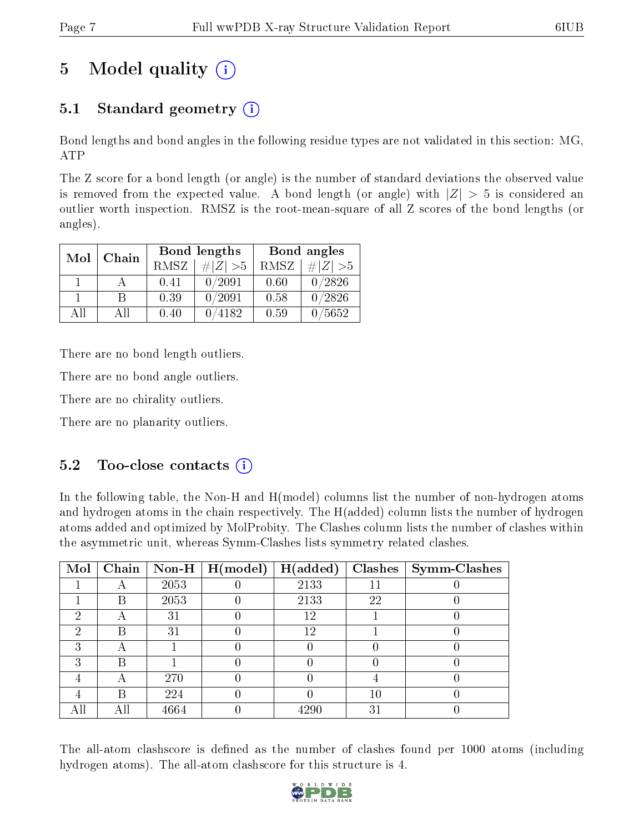# 5 Model quality  $(i)$

### 5.1 Standard geometry  $(i)$

Bond lengths and bond angles in the following residue types are not validated in this section: MG, ATP

The Z score for a bond length (or angle) is the number of standard deviations the observed value is removed from the expected value. A bond length (or angle) with  $|Z| > 5$  is considered an outlier worth inspection. RMSZ is the root-mean-square of all Z scores of the bond lengths (or angles).

| Mol | Chain |      | Bond lengths | Bond angles |                 |  |
|-----|-------|------|--------------|-------------|-----------------|--|
|     |       | RMSZ | $\# Z  > 5$  | RMSZ        | # $ Z  > 5$     |  |
|     |       | 0.41 | 0/2091       | 0.60        | 0/2826          |  |
|     | R     | 0.39 | 0/2091       | 0.58        | 0/2826          |  |
| ΔH  | A 11  | 0.40 | 4182         | 0.59        | $^{\prime}5652$ |  |

There are no bond length outliers.

There are no bond angle outliers.

There are no chirality outliers.

There are no planarity outliers.

### $5.2$  Too-close contacts  $(i)$

In the following table, the Non-H and H(model) columns list the number of non-hydrogen atoms and hydrogen atoms in the chain respectively. The H(added) column lists the number of hydrogen atoms added and optimized by MolProbity. The Clashes column lists the number of clashes within the asymmetric unit, whereas Symm-Clashes lists symmetry related clashes.

| Mol | Chain |      | $\mid$ Non-H $\mid$ H(model) | H(added) |    | $Clashes$   Symm-Clashes |
|-----|-------|------|------------------------------|----------|----|--------------------------|
|     |       | 2053 |                              | 2133     |    |                          |
|     | В     | 2053 |                              | 2133     | 22 |                          |
| 2   |       | 31   |                              | 12       |    |                          |
| 2   | R     | 31   |                              | 12       |    |                          |
| 3   |       |      |                              |          |    |                          |
| 3   | B     |      |                              |          |    |                          |
|     |       | 270  |                              |          |    |                          |
|     | В     | 224  |                              |          | 10 |                          |
| All |       | 4664 |                              | 4290     | 31 |                          |

The all-atom clashscore is defined as the number of clashes found per 1000 atoms (including hydrogen atoms). The all-atom clashscore for this structure is 4.

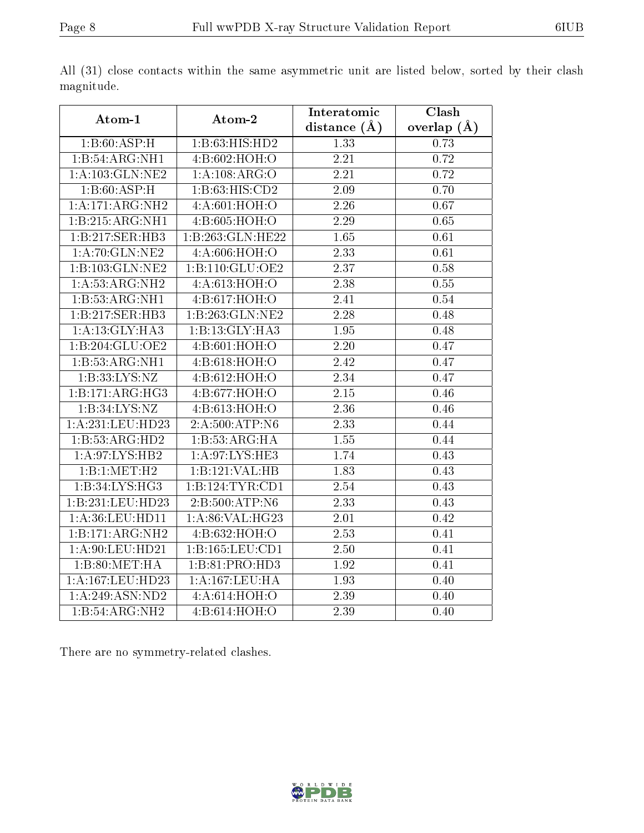|                             |                     | Interatomic       | Clash           |
|-----------------------------|---------------------|-------------------|-----------------|
| Atom-1                      | Atom-2              | distance $(A)$    | overlap $(\AA)$ |
| 1:B:60:ASP:H                | 1:B:63:HIS:HD2      | 1.33              | 0.73            |
| 1:B:54:ARG:NH1              | 4:B:602:HOH:O       | 2.21              | 0.72            |
| 1: A: 103: GLN: NE2         | 1:A:108:ARG:O       | 2.21              | 0.72            |
| 1:B:60:ASP:H                | 1:B:63:HIS:CD2      | 2.09              | 0.70            |
| 1:A:171:ARG:NH2             | 4: A:601:HOH:O      | 2.26              | 0.67            |
| 1:B:215:ARG:NH1             | 4:B:605:HOH:O       | 2.29              | 0.65            |
| 1:B:217:SER:HB3             | 1:B:263:GLN:HE22    | 1.65              | 0.61            |
| 1:A:70:GLN:NE2              | 4:A:606:HOH:O       | 2.33              | 0.61            |
| 1:B:103:GLN:NE2             | 1:B:110:GLU:OE2     | $\overline{2.37}$ | 0.58            |
| 1:A:53:ARG:NH2              | 4:A:613:HOH:O       | 2.38              | 0.55            |
| 1:B:53:ARG:NH1              | 4:B:617:HOH:O       | 2.41              | 0.54            |
| 1:B:217:SER:HB3             | 1:B:263:GLN:NE2     | 2.28              | 0.48            |
| 1: A:13: GLY: HA3           | 1:B:13:GLY:HA3      | 1.95              | 0.48            |
| 1:B:204:GLU:OE2             | 4:B:601:HOH:O       | 2.20              | 0.47            |
| 1:B:53:ARG:NH1              | 4:B:618:HOH:O       | 2.42              | 0.47            |
| 1:B:33:LYS:NZ               | 4:B:612:HOH:O       | $\overline{2.34}$ | 0.47            |
| 1:B:171:ARG:HG3             | 4:B:677:HOH:O       | 2.15              | 0.46            |
| 1:B:34:LYS:NZ               | 4:B:613:HOH:O       | 2.36              | 0.46            |
| 1:A:231:LEU:HD23            | 2:A:500:ATP:N6      | $\overline{2.33}$ | 0.44            |
| 1:B:53:ARG:HD2              | 1:B:53:ARG:HA       | 1.55              | 0.44            |
| 1: A:97: LYS: HB2           | 1: A:97: LYS: HE3   | 1.74              | 0.43            |
| 1:B:1:MET:H2                | 1:B:121:VAL:HB      | 1.83              | 0.43            |
| 1:B:34:LYS:HG3              | 1:B:124:TYR:CD1     | 2.54              | 0.43            |
| 1:B:231:LEU:HD23            | 2:B:500:ATP:N6      | $\overline{2.33}$ | 0.43            |
| 1:A:36:LEU:HD11             | 1:A:86:VAL:HG23     | 2.01              | 0.42            |
| 1:B:171:ARG:NH2             | 4:B:632:HOH:O       | $\overline{2.53}$ | 0.41            |
| 1: A:90: LEU:HD21           | 1: B: 165: LEU: CD1 | $2.50\,$          | 0.41            |
| 1:B:80:MET:HA               | 1:B:81:PRO:HD3      | 1.92              | 0.41            |
| 1:A:167:LEU:HD23            | 1: A: 167: LEU: HA  | 1.93              | 0.40            |
| 1:A:249:ASN:ND2             | 4: A:614: HOH:O     | 2.39              | 0.40            |
| $1:B:54:ARG:\overline{NH2}$ | 4:B:614:HOH:O       | 2.39              | 0.40            |

All (31) close contacts within the same asymmetric unit are listed below, sorted by their clash magnitude.

There are no symmetry-related clashes.

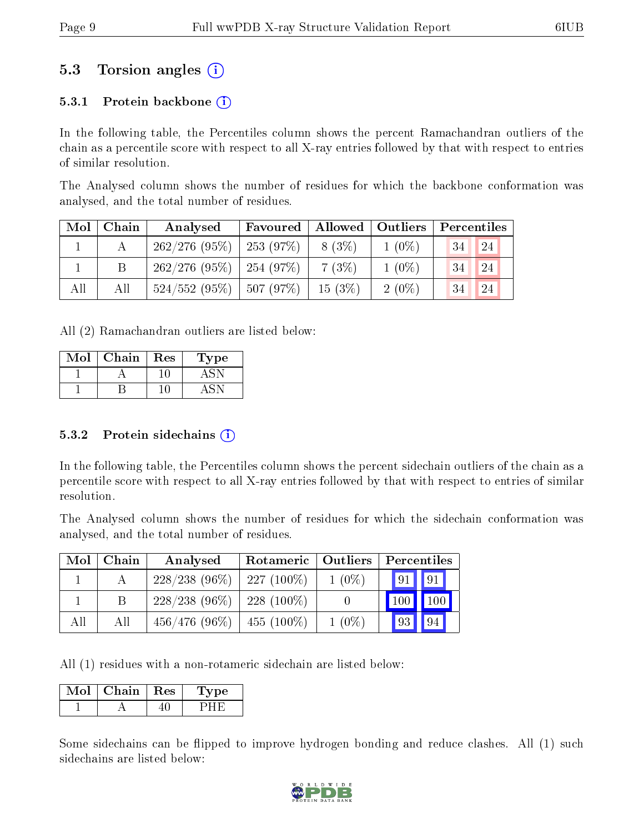### 5.3 Torsion angles (i)

#### 5.3.1 Protein backbone  $(i)$

In the following table, the Percentiles column shows the percent Ramachandran outliers of the chain as a percentile score with respect to all X-ray entries followed by that with respect to entries of similar resolution.

The Analysed column shows the number of residues for which the backbone conformation was analysed, and the total number of residues.

| Mol | Chain | Analysed                      | Favoured | Allowed   Outliers |          | Percentiles |
|-----|-------|-------------------------------|----------|--------------------|----------|-------------|
|     |       | $262/276$ (95\%)   253 (97\%) |          | $8(3\%)$           | $1(0\%)$ | 24<br>34    |
|     |       | $262/276$ (95\%)   254 (97\%) |          | 7(3%)              | $1(0\%)$ | 24<br>134   |
| All | All   | $524/552$ (95%)   507 (97%)   |          | $15(3\%)$          | $2(0\%)$ | 24<br>34    |

All (2) Ramachandran outliers are listed below:

| Mol | Chain | Res | l'ype |
|-----|-------|-----|-------|
|     |       |     |       |
|     |       |     |       |

#### 5.3.2 Protein sidechains  $(i)$

In the following table, the Percentiles column shows the percent sidechain outliers of the chain as a percentile score with respect to all X-ray entries followed by that with respect to entries of similar resolution.

The Analysed column shows the number of residues for which the sidechain conformation was analysed, and the total number of residues.

| Mol | Chain | Analysed        | Rotameric     | Outliers |                    |
|-----|-------|-----------------|---------------|----------|--------------------|
|     |       | $228/238(96\%)$ | $227(100\%)$  | $1(0\%)$ | $\sqrt{91}$<br> 91 |
|     | B.    | $228/238(96\%)$ | 228 $(100\%)$ |          | 100<br>100         |
| All | All   | $456/476(96\%)$ | 455 $(100\%)$ | $1(0\%)$ | 94<br>$\sqrt{93}$  |

All (1) residues with a non-rotameric sidechain are listed below:

| MoL | Chain | $\parallel$ Res | $^{\prime}$ pe |
|-----|-------|-----------------|----------------|
|     |       |                 |                |

Some sidechains can be flipped to improve hydrogen bonding and reduce clashes. All (1) such sidechains are listed below:

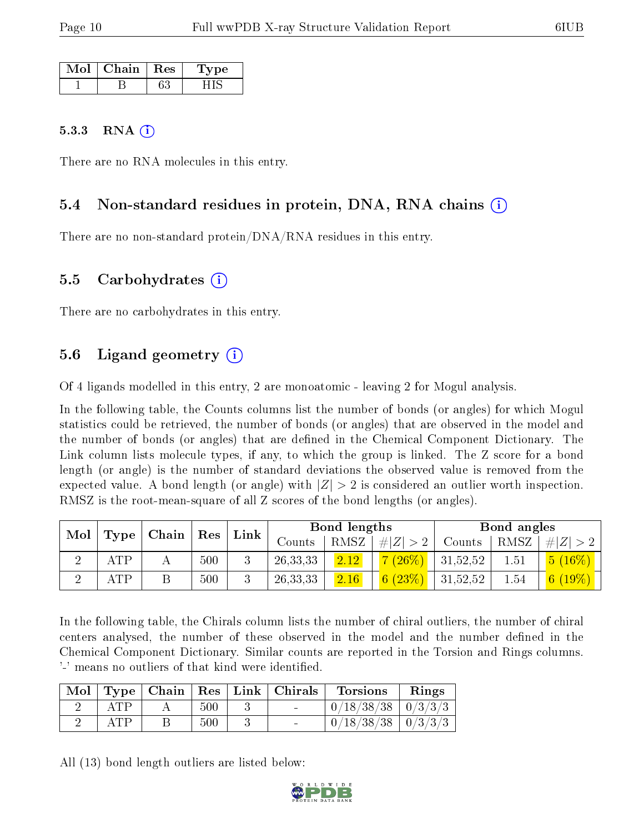| Mol | Chain. | Res | ne. |
|-----|--------|-----|-----|
|     |        |     |     |

#### 5.3.3 RNA  $(i)$

There are no RNA molecules in this entry.

#### 5.4 Non-standard residues in protein, DNA, RNA chains (i)

There are no non-standard protein/DNA/RNA residues in this entry.

#### 5.5 Carbohydrates (i)

There are no carbohydrates in this entry.

### 5.6 Ligand geometry (i)

Of 4 ligands modelled in this entry, 2 are monoatomic - leaving 2 for Mogul analysis.

In the following table, the Counts columns list the number of bonds (or angles) for which Mogul statistics could be retrieved, the number of bonds (or angles) that are observed in the model and the number of bonds (or angles) that are dened in the Chemical Component Dictionary. The Link column lists molecule types, if any, to which the group is linked. The Z score for a bond length (or angle) is the number of standard deviations the observed value is removed from the expected value. A bond length (or angle) with  $|Z| > 2$  is considered an outlier worth inspection. RMSZ is the root-mean-square of all Z scores of the bond lengths (or angles).

| Mol |            |                                             |     | Link | Bond lengths |      |                        | Bond angles |          |             |
|-----|------------|---------------------------------------------|-----|------|--------------|------|------------------------|-------------|----------|-------------|
|     | Type       | $\Box$ Chain $\Box$<br>$\operatorname{Res}$ |     |      | Counts       | RMSZ | # $ Z  > 2$            | Counts      | RMSZ     | $\# Z  > 2$ |
|     | <b>ATP</b> |                                             | 500 |      | 26, 33, 33   | 2.12 | $7(26\%)$              | 31,52,52    | $1.51\,$ | $(16\%)$    |
|     | <b>ATP</b> |                                             | 500 |      | 26, 33, 33   | 2.16 | $\frac{1}{6}$ $(23\%)$ | 31,52,52    | 1.54     | $19\%$      |

In the following table, the Chirals column lists the number of chiral outliers, the number of chiral centers analysed, the number of these observed in the model and the number defined in the Chemical Component Dictionary. Similar counts are reported in the Torsion and Rings columns. '-' means no outliers of that kind were identified.

|     |     | $\text{Mol}$   Type   Chain   Res   Link   Chirals | <b>Torsions</b>          | Rings |
|-----|-----|----------------------------------------------------|--------------------------|-------|
| ATP | 500 | $\sim$                                             | $0/18/38/38$   $0/3/3/3$ |       |
| ATP | 500 | $\sim$                                             | $0/18/38/38$   $0/3/3/3$ |       |

All (13) bond length outliers are listed below:

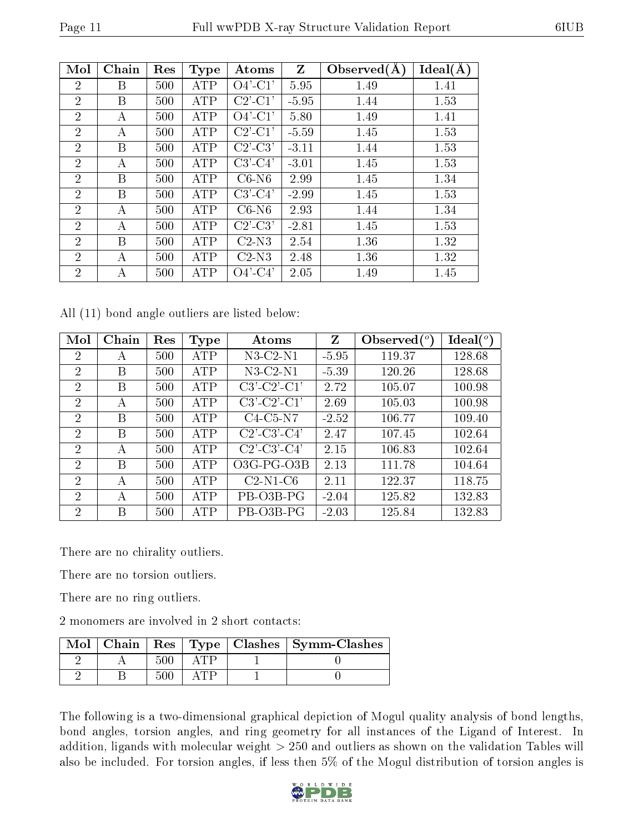| Mol            | Chain | Res | <b>Type</b> | Atoms         | $Z_{\rm}$ | Observed $(A)$ | Ideal(A) |
|----------------|-------|-----|-------------|---------------|-----------|----------------|----------|
| $\overline{2}$ | Β     | 500 | <b>ATP</b>  | $O4'$ -C1'    | 5.95      | 1.49           | 1.41     |
| $\overline{2}$ | B     | 500 | <b>ATP</b>  | $C2'$ - $C1'$ | $-5.95$   | 1.44           | 1.53     |
| $\overline{2}$ | А     | 500 | <b>ATP</b>  | $O4'$ -C1'    | 5.80      | 1.49           | 1.41     |
| $\overline{2}$ | А     | 500 | <b>ATP</b>  | $C2'$ - $C1'$ | $-5.59$   | 1.45           | 1.53     |
| 2              | Β     | 500 | <b>ATP</b>  | $C2'-C3'$     | $-3.11$   | 1.44           | 1.53     |
| 2              | А     | 500 | <b>ATP</b>  | $C3'-C4'$     | $-3.01$   | 1.45           | 1.53     |
| $\overline{2}$ | B     | 500 | ATP         | $C6-N6$       | 2.99      | 1.45           | 1.34     |
| $\overline{2}$ | B     | 500 | <b>ATP</b>  | $C3'$ - $C4'$ | $-2.99$   | 1.45           | 1.53     |
| $\overline{2}$ | А     | 500 | ATP         | $C6-N6$       | 2.93      | 1.44           | 1.34     |
| $\overline{2}$ | А     | 500 | <b>ATP</b>  | $C2'-C3'$     | $-2.81$   | 1.45           | 1.53     |
| $\overline{2}$ | B     | 500 | <b>ATP</b>  | $C2-N3$       | 2.54      | 1.36           | 1.32     |
| $\overline{2}$ | A     | 500 | ATP         | $C2-N3$       | 2.48      | 1.36           | 1.32     |
| $\overline{2}$ | А     | 500 | ATP         | $O4'$ -C4'    | 2.05      | 1.49           | 1.45     |

All (11) bond angle outliers are listed below:

| Mol            | Chain | Res | <b>Type</b> | Atoms                 | Z       | Observed $(°)$ | Ideal (°) |
|----------------|-------|-----|-------------|-----------------------|---------|----------------|-----------|
| 2              | А     | 500 | ATP         | $N3$ -C2- $N1$        | $-5.95$ | 119.37         | 128.68    |
| $\overline{2}$ | B     | 500 | <b>ATP</b>  | $N3$ -C2- $N1$        | $-5.39$ | 120.26         | 128.68    |
| $\overline{2}$ | B     | 500 | <b>ATP</b>  | $C3'-C2'-C1'$         | 2.72    | 105.07         | 100.98    |
| $\overline{2}$ | A     | 500 | <b>ATP</b>  | $C3'-C2'-C1'$         | 2.69    | 105.03         | 100.98    |
| $\overline{2}$ | B     | 500 | <b>ATP</b>  | $C4-C5-N7$            | $-2.52$ | 106.77         | 109.40    |
| $\overline{2}$ | B     | 500 | ATP         | $C2'$ - $C3'$ - $C4'$ | 2.47    | 107.45         | 102.64    |
| $\overline{2}$ | А     | 500 | ATP         | $C2'$ - $C3'$ - $C4'$ | 2.15    | 106.83         | 102.64    |
| 2              | B     | 500 | <b>ATP</b>  | $O3G$ -PG- $O3B$      | 2.13    | 111.78         | 104.64    |
| 2              | А     | 500 | ATP         | $C2-N1-C6$            | 2.11    | 122.37         | 118.75    |
| 2              | А     | 500 | <b>ATP</b>  | PB-03B-PG             | $-2.04$ | 125.82         | 132.83    |
| 2              | B     | 500 | ATP         | PB-03B-PG             | $-2.03$ | 125.84         | 132.83    |

There are no chirality outliers.

There are no torsion outliers.

There are no ring outliers.

2 monomers are involved in 2 short contacts:

|  |      |       | Mol   Chain   Res   Type   Clashes   Symm-Clashes |
|--|------|-------|---------------------------------------------------|
|  | 500  | טיו ״ |                                                   |
|  | -500 | 不用打开  |                                                   |

The following is a two-dimensional graphical depiction of Mogul quality analysis of bond lengths, bond angles, torsion angles, and ring geometry for all instances of the Ligand of Interest. In addition, ligands with molecular weight  $> 250$  and outliers as shown on the validation Tables will also be included. For torsion angles, if less then 5% of the Mogul distribution of torsion angles is

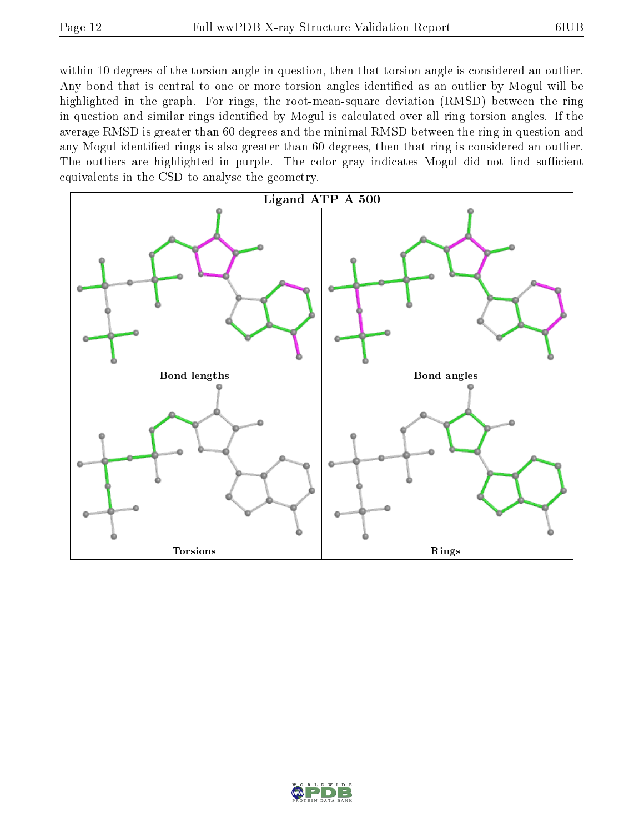within 10 degrees of the torsion angle in question, then that torsion angle is considered an outlier. Any bond that is central to one or more torsion angles identified as an outlier by Mogul will be highlighted in the graph. For rings, the root-mean-square deviation (RMSD) between the ring in question and similar rings identified by Mogul is calculated over all ring torsion angles. If the average RMSD is greater than 60 degrees and the minimal RMSD between the ring in question and any Mogul-identified rings is also greater than 60 degrees, then that ring is considered an outlier. The outliers are highlighted in purple. The color gray indicates Mogul did not find sufficient equivalents in the CSD to analyse the geometry.



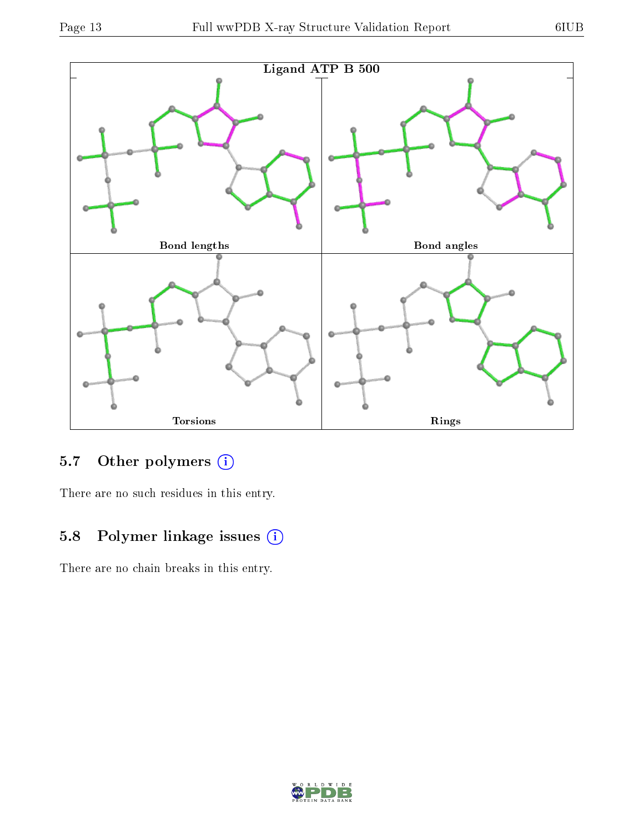

### 5.7 [O](https://www.wwpdb.org/validation/2017/XrayValidationReportHelp#nonstandard_residues_and_ligands)ther polymers (i)

There are no such residues in this entry.

### 5.8 Polymer linkage issues (i)

There are no chain breaks in this entry.

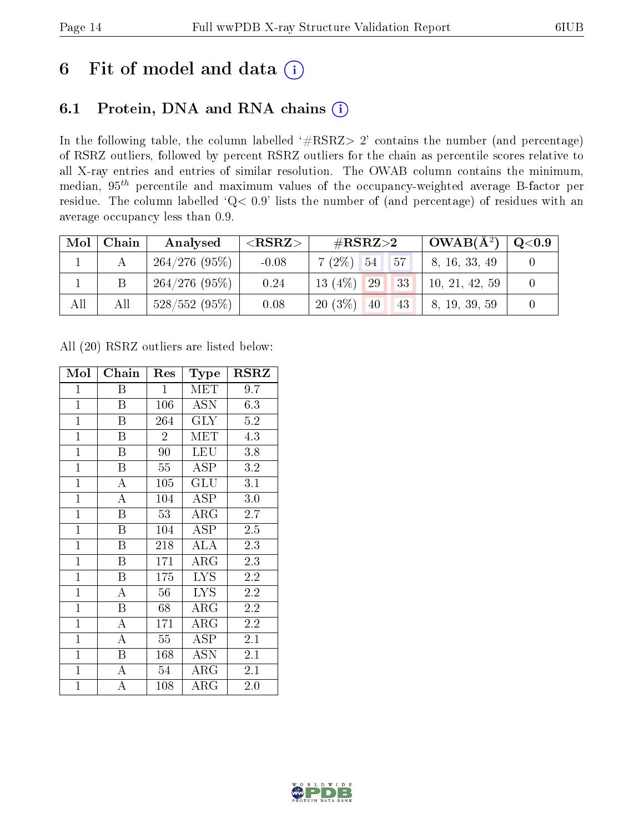# 6 Fit of model and data  $(i)$

### 6.1 Protein, DNA and RNA chains  $(i)$

In the following table, the column labelled  $#RSRZ> 2'$  contains the number (and percentage) of RSRZ outliers, followed by percent RSRZ outliers for the chain as percentile scores relative to all X-ray entries and entries of similar resolution. The OWAB column contains the minimum, median,  $95<sup>th</sup>$  percentile and maximum values of the occupancy-weighted average B-factor per residue. The column labelled ' $Q< 0.9$ ' lists the number of (and percentage) of residues with an average occupancy less than 0.9.

| Mol | Chain | Analysed           | ${ <\hspace{-1.5pt}{\mathrm{RSRZ}} \hspace{-1.5pt}>}$ | # $RSRZ>2$               | $\overline{\text{OWAB(A^2)}}$ | $\rm Q\textcolor{black}{<}0.9$ |
|-----|-------|--------------------|-------------------------------------------------------|--------------------------|-------------------------------|--------------------------------|
|     |       | 264/276(95%)       | $-0.08$                                               | $7(2\%)$ 54<br>57        | 8, 16, 33, 49                 |                                |
|     | Β     | 264/276(95%)       | 0.24                                                  | 13 $(4%)$<br> 29 <br> 33 | 10, 21, 42, 59                |                                |
| All | All   | $528/552$ $(95\%)$ | 0.08                                                  | $20(3\%)$<br>43<br>40    | 8, 19, 39, 59                 |                                |

All (20) RSRZ outliers are listed below:

| Mol            | Chain                   | Res            | Type                    | <b>RSRZ</b> |  |
|----------------|-------------------------|----------------|-------------------------|-------------|--|
| $\mathbf{1}$   | Β                       | $\mathbf 1$    | MET                     | 9.7         |  |
| $\overline{1}$ | B                       | 106            | <b>ASN</b>              | 6.3         |  |
| $\overline{1}$ | $\overline{\mathrm{B}}$ | 264            | $\overline{\text{GLY}}$ | 5.2         |  |
| $\overline{1}$ | B                       | $\overline{2}$ | MET                     | 4.3         |  |
| $\overline{1}$ | B                       | 90             | <b>LEU</b>              | 3.8         |  |
| $\overline{1}$ | B                       | 55             | ASP                     | 3.2         |  |
| $\mathbf{1}$   | $\mathbf{A}$            | 105            | GLU                     | 3.1         |  |
| $\overline{1}$ | $\overline{\rm A}$      | 104            | <b>ASP</b>              | $3.0\,$     |  |
| $\mathbf{1}$   | $\overline{B}$          | 53             | $\rm{ARG}$              | 2.7         |  |
| $\mathbf{1}$   | $\boldsymbol{B}$        | 104            | <b>ASP</b>              | 2.5         |  |
| $\mathbf{1}$   | B                       | 218            | ALA                     | 2.3         |  |
| $\overline{1}$ | $\overline{\mathrm{B}}$ | 171            | $\rm{ARG}$              | 2.3         |  |
| $\mathbf{1}$   | B                       | 175            | <b>LYS</b>              | 2.2         |  |
| $\mathbf{1}$   | A                       | 56             | <b>LYS</b>              | 2.2         |  |
| $\mathbf{1}$   | B                       | 68             | $\rm{ARG}$              | 2.2         |  |
| $\mathbf{1}$   | A                       | 171            | $\rm{ARG}$              | 2.2         |  |
| $\mathbf{1}$   | $\overline{\rm A}$      | 55             | <b>ASP</b>              | 2.1         |  |
| $\mathbf{1}$   | B                       | 168            | <b>ASN</b>              | 2.1         |  |
| $\mathbf{1}$   | A                       | 54             | $\rm{ARG}$              | 2.1         |  |
| $\mathbf 1$    | A                       | 108            | ${\rm ARG}$             | $2.0\,$     |  |

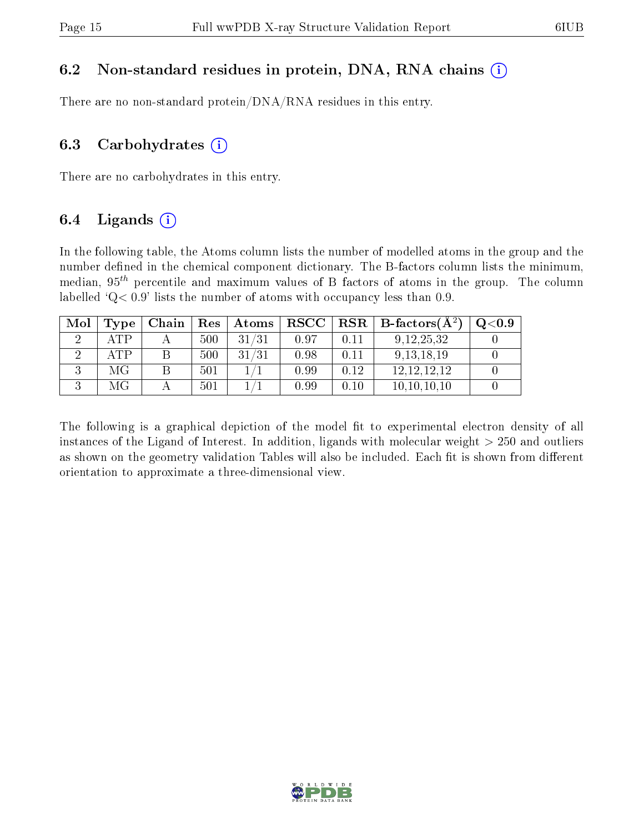#### 6.2 Non-standard residues in protein, DNA, RNA chains  $(i)$

There are no non-standard protein/DNA/RNA residues in this entry.

#### 6.3 Carbohydrates  $(i)$

There are no carbohydrates in this entry.

### 6.4 Ligands  $(i)$

In the following table, the Atoms column lists the number of modelled atoms in the group and the number defined in the chemical component dictionary. The B-factors column lists the minimum, median,  $95<sup>th</sup>$  percentile and maximum values of B factors of atoms in the group. The column labelled  $Q < 0.9$ ' lists the number of atoms with occupancy less than 0.9.

| Mol | Type               | Chain | Res | Atoms | $_{\rm RSCC}$ | $\mid$ RSR $\mid$ | $\perp$ B-factors $(\overline{A^2})$ | Q <sub>0.9</sub> |
|-----|--------------------|-------|-----|-------|---------------|-------------------|--------------------------------------|------------------|
|     | ATP                |       | 500 | 31/31 | 0.97          | 0.11              | 9, 12, 25, 32                        |                  |
|     | $\Delta \text{TP}$ |       | 500 | 31/31 | 0.98          | 0.11              | 9, 13, 18, 19                        |                  |
|     | МG                 |       | 501 |       | 0.99          | 0.12              | 12, 12, 12, 12                       |                  |
|     | МG                 |       | 501 |       | 0.99          | 0.10              | 10, 10, 10, 10                       |                  |

The following is a graphical depiction of the model fit to experimental electron density of all instances of the Ligand of Interest. In addition, ligands with molecular weight  $> 250$  and outliers as shown on the geometry validation Tables will also be included. Each fit is shown from different orientation to approximate a three-dimensional view.

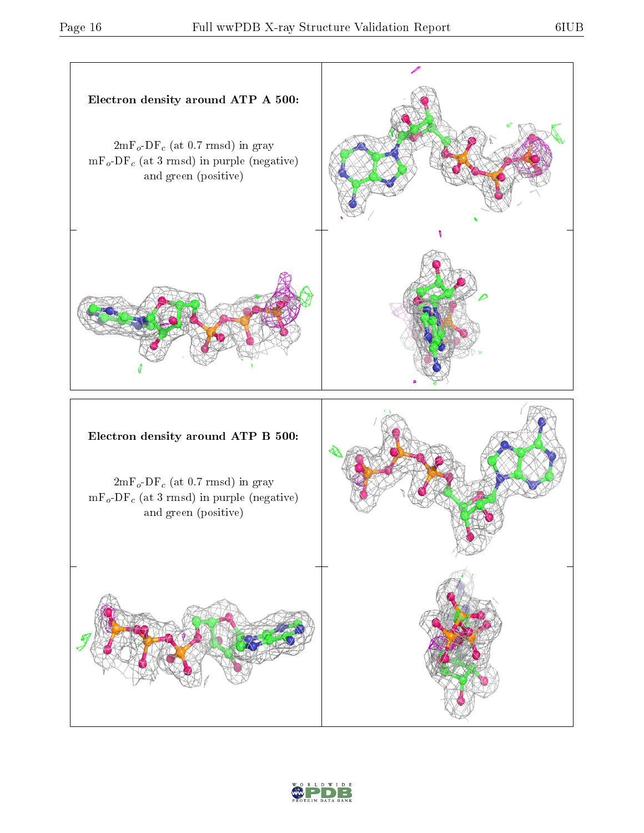